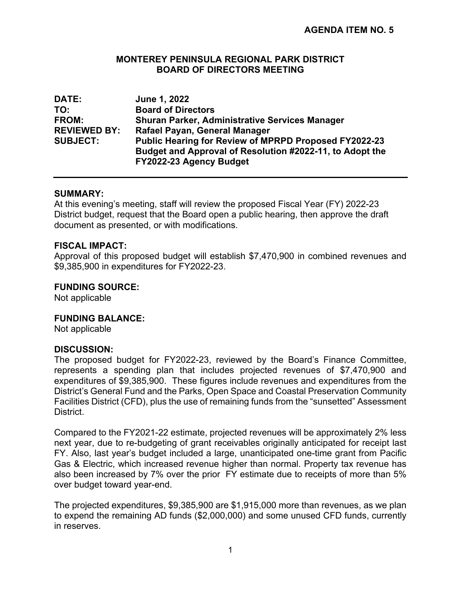# **MONTEREY PENINSULA REGIONAL PARK DISTRICT BOARD OF DIRECTORS MEETING**

| <b>DATE:</b>        | June 1, 2022                                                 |
|---------------------|--------------------------------------------------------------|
| TO:                 | <b>Board of Directors</b>                                    |
| <b>FROM:</b>        | <b>Shuran Parker, Administrative Services Manager</b>        |
| <b>REVIEWED BY:</b> | Rafael Payan, General Manager                                |
| <b>SUBJECT:</b>     | <b>Public Hearing for Review of MPRPD Proposed FY2022-23</b> |
|                     | Budget and Approval of Resolution #2022-11, to Adopt the     |
|                     | FY2022-23 Agency Budget                                      |

# **SUMMARY:**

At this evening's meeting, staff will review the proposed Fiscal Year (FY) 2022-23 District budget, request that the Board open a public hearing, then approve the draft document as presented, or with modifications.

### **FISCAL IMPACT:**

Approval of this proposed budget will establish \$7,470,900 in combined revenues and \$9,385,900 in expenditures for FY2022-23.

# **FUNDING SOURCE:**

Not applicable

### **FUNDING BALANCE:**

Not applicable

### **DISCUSSION:**

The proposed budget for FY2022-23, reviewed by the Board's Finance Committee, represents a spending plan that includes projected revenues of \$7,470,900 and expenditures of \$9,385,900. These figures include revenues and expenditures from the District's General Fund and the Parks, Open Space and Coastal Preservation Community Facilities District (CFD), plus the use of remaining funds from the "sunsetted" Assessment **District** 

Compared to the FY2021-22 estimate, projected revenues will be approximately 2% less next year, due to re-budgeting of grant receivables originally anticipated for receipt last FY. Also, last year's budget included a large, unanticipated one-time grant from Pacific Gas & Electric, which increased revenue higher than normal. Property tax revenue has also been increased by 7% over the prior FY estimate due to receipts of more than 5% over budget toward year-end.

The projected expenditures, \$9,385,900 are \$1,915,000 more than revenues, as we plan to expend the remaining AD funds (\$2,000,000) and some unused CFD funds, currently in reserves.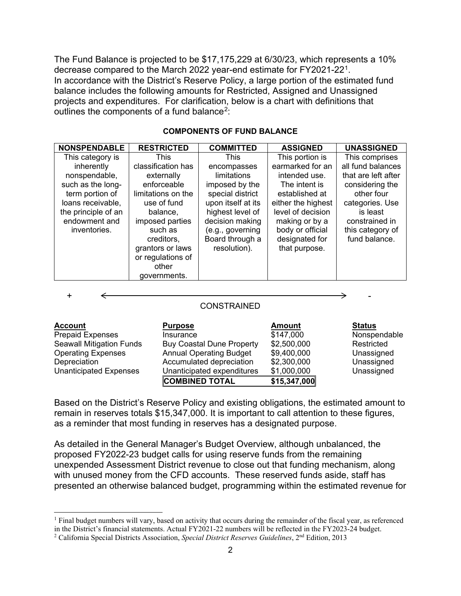The Fund Balance is projected to be \$17,175,229 at 6/30/23, which represents a 10% decrease compared to the March 2022 year-end estimate for FY2021-22[1](#page-1-0). In accordance with the District's Reserve Policy, a large portion of the estimated fund balance includes the following amounts for Restricted, Assigned and Unassigned projects and expenditures. For clarification, below is a chart with definitions that outlines the components of a fund balance<sup>2</sup>:

| <b>NONSPENDABLE</b> | <b>RESTRICTED</b>  | <b>COMMITTED</b>   | <b>ASSIGNED</b>    | <b>UNASSIGNED</b>   |
|---------------------|--------------------|--------------------|--------------------|---------------------|
| This category is    | This               | <b>This</b>        | This portion is    | This comprises      |
| inherently          | classification has | encompasses        | earmarked for an   | all fund balances   |
| nonspendable,       | externally         | limitations        | intended use.      | that are left after |
| such as the long-   | enforceable        | imposed by the     | The intent is      | considering the     |
| term portion of     | limitations on the | special district   | established at     | other four          |
| loans receivable,   | use of fund        | upon itself at its | either the highest | categories. Use     |
| the principle of an | balance,           | highest level of   | level of decision  | is least            |
| endowment and       | imposed parties    | decision making    | making or by a     | constrained in      |
| inventories.        | such as            | (e.g., governing   | body or official   | this category of    |
|                     | creditors,         | Board through a    | designated for     | fund balance.       |
|                     | grantors or laws   | resolution).       | that purpose.      |                     |
|                     | or regulations of  |                    |                    |                     |
|                     | other              |                    |                    |                     |
|                     | governments.       |                    |                    |                     |

#### **COMPONENTS OF FUND BALANCE**

|                         | <b>CONSTRAINED</b> |        |               |
|-------------------------|--------------------|--------|---------------|
| <b>Account</b>          | <b>Purpose</b>     | Amount | <b>Status</b> |
| <b>Drappid Evnoppec</b> | Inouman            | 0.1700 | Noncpoonds    |

|                                 | <b>COMBINED TOTAL</b>            | \$15,347,000 |              |
|---------------------------------|----------------------------------|--------------|--------------|
| <b>Unanticipated Expenses</b>   | Unanticipated expenditures       | \$1,000,000  | Unassigned   |
| Depreciation                    | Accumulated depreciation         | \$2,300,000  | Unassigned   |
| <b>Operating Expenses</b>       | <b>Annual Operating Budget</b>   | \$9,400,000  | Unassigned   |
| <b>Seawall Mitigation Funds</b> | <b>Buy Coastal Dune Property</b> | \$2,500,000  | Restricted   |
| <b>Prepaid Expenses</b>         | Insurance                        | \$147,000    | Nonspendable |

Based on the District's Reserve Policy and existing obligations, the estimated amount to remain in reserves totals \$15,347,000. It is important to call attention to these figures, as a reminder that most funding in reserves has a designated purpose.

As detailed in the General Manager's Budget Overview, although unbalanced, the proposed FY2022-23 budget calls for using reserve funds from the remaining unexpended Assessment District revenue to close out that funding mechanism, along with unused money from the CFD accounts. These reserved funds aside, staff has presented an otherwise balanced budget, programming within the estimated revenue for

<span id="page-1-0"></span> $<sup>1</sup>$  Final budget numbers will vary, based on activity that occurs during the remainder of the fiscal year, as referenced</sup> in the District's financial statements. Actual FY2021-22 numbers will be reflected in the FY2023-24 budget.

<span id="page-1-1"></span><sup>2</sup> California Special Districts Association, *Special District Reserves Guidelines*, 2nd Edition, 2013